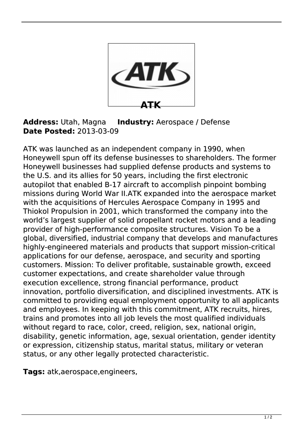

## **Address:** Utah, Magna **Industry:** Aerospace / Defense **Date Posted:** 2013-03-09

ATK was launched as an independent company in 1990, when Honeywell spun off its defense businesses to shareholders. The former Honeywell businesses had supplied defense products and systems to the U.S. and its allies for 50 years, including the first electronic autopilot that enabled B-17 aircraft to accomplish pinpoint bombing missions during World War II.ATK expanded into the aerospace market with the acquisitions of Hercules Aerospace Company in 1995 and Thiokol Propulsion in 2001, which transformed the company into the world's largest supplier of solid propellant rocket motors and a leading provider of high-performance composite structures. Vision To be a global, diversified, industrial company that develops and manufactures highly-engineered materials and products that support mission-critical applications for our defense, aerospace, and security and sporting customers. Mission: To deliver profitable, sustainable growth, exceed customer expectations, and create shareholder value through execution excellence, strong financial performance, product innovation, portfolio diversification, and disciplined investments. ATK is committed to providing equal employment opportunity to all applicants and employees. In keeping with this commitment, ATK recruits, hires, trains and promotes into all job levels the most qualified individuals without regard to race, color, creed, religion, sex, national origin, disability, genetic information, age, sexual orientation, gender identity or expression, citizenship status, marital status, military or veteran status, or any other legally protected characteristic.

**Tags:** atk,aerospace,engineers,